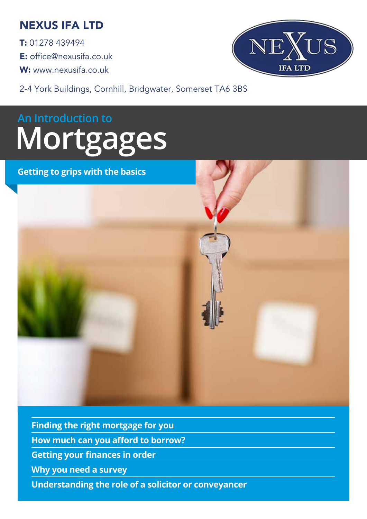## NEXUS IFA LTD

T: 01278 439494  $E:$  office@nexusifa.co.uk W: www.nexusifa.co.uk



2-4 York Buildings, Cornhill, Bridgwater, Somerset TA6 3BS

# **An Introduction to Mortgages**

#### **Getting to grips with the basics**



**Finding the right mortgage for you How much can you afford to borrow? Getting your finances in order Why you need a survey Understanding the role of a solicitor or conveyancer**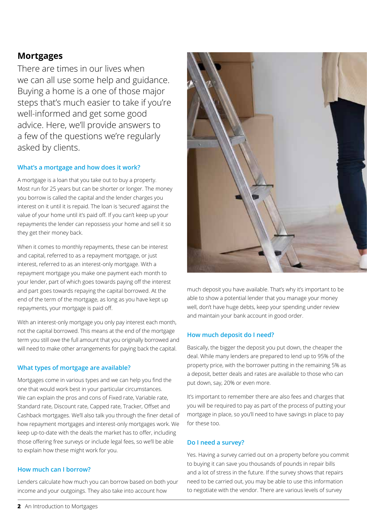#### **Mortgages**

There are times in our lives when we can all use some help and guidance. Buying a home is a one of those major steps that's much easier to take if you're well-informed and get some good advice. Here, we'll provide answers to a few of the questions we're regularly asked by clients.

#### **What's a mortgage and how does it work?**

A mortgage is a loan that you take out to buy a property. Most run for 25 years but can be shorter or longer. The money you borrow is called the capital and the lender charges you interest on it until it is repaid. The loan is 'secured' against the value of your home until it's paid off. If you can't keep up your repayments the lender can repossess your home and sell it so they get their money back.

When it comes to monthly repayments, these can be interest and capital, referred to as a repayment mortgage, or just interest, referred to as an interest-only mortgage. With a repayment mortgage you make one payment each month to your lender, part of which goes towards paying off the interest and part goes towards repaying the capital borrowed. At the end of the term of the mortgage, as long as you have kept up repayments, your mortgage is paid off.

With an interest-only mortgage you only pay interest each month, not the capital borrowed. This means at the end of the mortgage term you still owe the full amount that you originally borrowed and will need to make other arrangements for paying back the capital.

#### **What types of mortgage are available?**

Mortgages come in various types and we can help you find the one that would work best in your particular circumstances. We can explain the pros and cons of Fixed rate, Variable rate, Standard rate, Discount rate, Capped rate, Tracker, Offset and Cashback mortgages. We'll also talk you through the finer detail of how repayment mortgages and interest-only mortgages work. We keep up-to-date with the deals the market has to offer, including those offering free surveys or include legal fees, so we'll be able to explain how these might work for you.

#### **How much can I borrow?**

Lenders calculate how much you can borrow based on both your income and your outgoings. They also take into account how



much deposit you have available. That's why it's important to be able to show a potential lender that you manage your money well, don't have huge debts, keep your spending under review and maintain your bank account in good order.

#### **How much deposit do I need?**

Basically, the bigger the deposit you put down, the cheaper the deal. While many lenders are prepared to lend up to 95% of the property price, with the borrower putting in the remaining 5% as a deposit, better deals and rates are available to those who can put down, say, 20% or even more.

It's important to remember there are also fees and charges that you will be required to pay as part of the process of putting your mortgage in place, so you'll need to have savings in place to pay for these too.

#### **Do I need a survey?**

Yes. Having a survey carried out on a property before you commit to buying it can save you thousands of pounds in repair bills and a lot of stress in the future. If the survey shows that repairs need to be carried out, you may be able to use this information to negotiate with the vendor. There are various levels of survey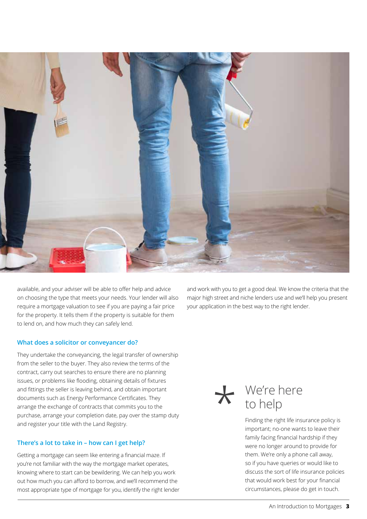

available, and your adviser will be able to offer help and advice on choosing the type that meets your needs. Your lender will also require a mortgage valuation to see if you are paying a fair price for the property. It tells them if the property is suitable for them to lend on, and how much they can safely lend.

#### **What does a solicitor or conveyancer do?**

They undertake the conveyancing, the legal transfer of ownership from the seller to the buyer. They also review the terms of the contract, carry out searches to ensure there are no planning issues, or problems like flooding, obtaining details of fixtures and fittings the seller is leaving behind, and obtain important documents such as Energy Performance Certificates. They arrange the exchange of contracts that commits you to the purchase, arrange your completion date, pay over the stamp duty and register your title with the Land Registry.

#### **There's a lot to take in – how can I get help?**

Getting a mortgage can seem like entering a financial maze. If you're not familiar with the way the mortgage market operates, knowing where to start can be bewildering. We can help you work out how much you can afford to borrow, and we'll recommend the most appropriate type of mortgage for you, identify the right lender

and work with you to get a good deal. We know the criteria that the major high street and niche lenders use and we'll help you present your application in the best way to the right lender.

\*

## We're here to help

Finding the right life insurance policy is important; no-one wants to leave their family facing financial hardship if they were no longer around to provide for them. We're only a phone call away, so if you have queries or would like to discuss the sort of life insurance policies that would work best for your financial circumstances, please do get in touch.